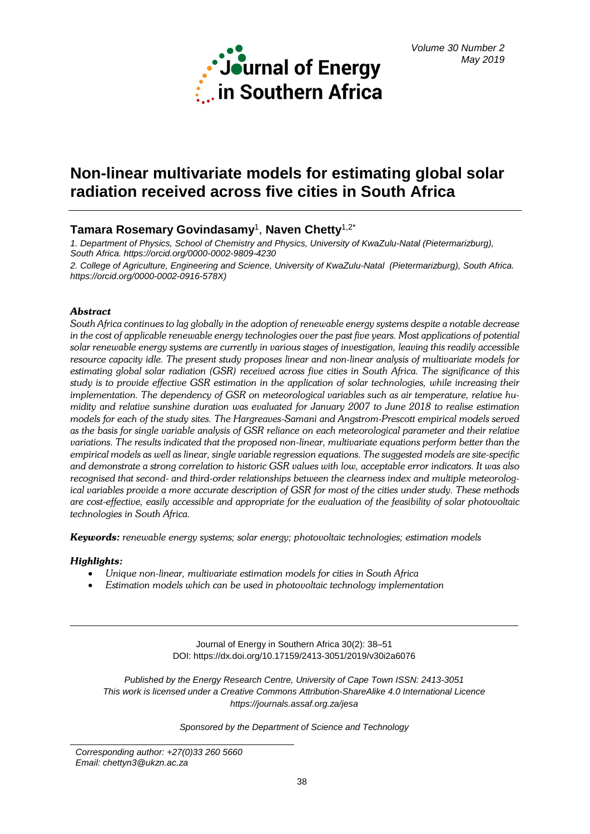

# **Non-linear multivariate models for estimating global solar radiation received across five cities in South Africa**

# **Tamara Rosemary Govindasamy**1, **Naven Chetty**1,2\*

*1. Department of Physics, School of Chemistry and Physics, University of KwaZulu-Natal (Pietermarizburg), South Africa. [https://orcid.org/0000-0002-9809-4230](https://protect-za.mimecast.com/s/DJ7MC98A5gUVvQ28I3RZ0P)*

*2. College of Agriculture, Engineering and Science, University of KwaZulu-Natal (Pietermarizburg), South Africa. [https://orcid.org/0000-0002-0916-578X\)](https://protect-za.mimecast.com/s/ACiWC0go6Lf0KVmjuWCHT1)*

# *Abstract*

*South Africa continues to lag globally in the adoption of renewable energy systems despite a notable decrease in the cost of applicable renewable energy technologies over the past five years. Most applications of potential solar renewable energy systems are currently in various stages of investigation, leaving this readily accessible resource capacity idle. The present study proposes linear and non-linear analysis of multivariate models for estimating global solar radiation (GSR) received across five cities in South Africa. The significance of this study is to provide effective GSR estimation in the application of solar technologies, while increasing their implementation. The dependency of GSR on meteorological variables such as air temperature, relative humidity and relative sunshine duration was evaluated for January 2007 to June 2018 to realise estimation models for each of the study sites. The Hargreaves-Samani and Angstrom-Prescott empirical models served as the basis for single variable analysis of GSR reliance on each meteorological parameter and their relative variations. The results indicated that the proposed non-linear, multivariate equations perform better than the empirical models as well as linear, single variable regression equations. The suggested models are site-specific and demonstrate a strong correlation to historic GSR values with low, acceptable error indicators. It was also recognised that second- and third-order relationships between the clearness index and multiple meteorological variables provide a more accurate description of GSR for most of the cities under study. These methods are cost-effective, easily accessible and appropriate for the evaluation of the feasibility of solar photovoltaic technologies in South Africa.*

*Keywords: renewable energy systems; solar energy; photovoltaic technologies; estimation models*

# *Highlights:*

- *Unique non-linear, multivariate estimation models for cities in South Africa*
- *Estimation models which can be used in photovoltaic technology implementation*

Journal of Energy in Southern Africa 30(2): 38–51 DOI: https://dx.doi.org/10.17159/2413-3051/2019/v30i2a6076

*Published by the Energy Research Centre, University of Cape Town ISSN: 2413-3051 This work is licensed under a Creative Commons Attribution-ShareAlike 4.0 International Licence https://journals.assaf.org.za/jesa*

*Sponsored by the Department of Science and Technology*

*Corresponding author: +27(0)33 260 5660 Email: [chettyn3@ukzn.ac.za](mailto:chettyn3@ukzn.ac.za)*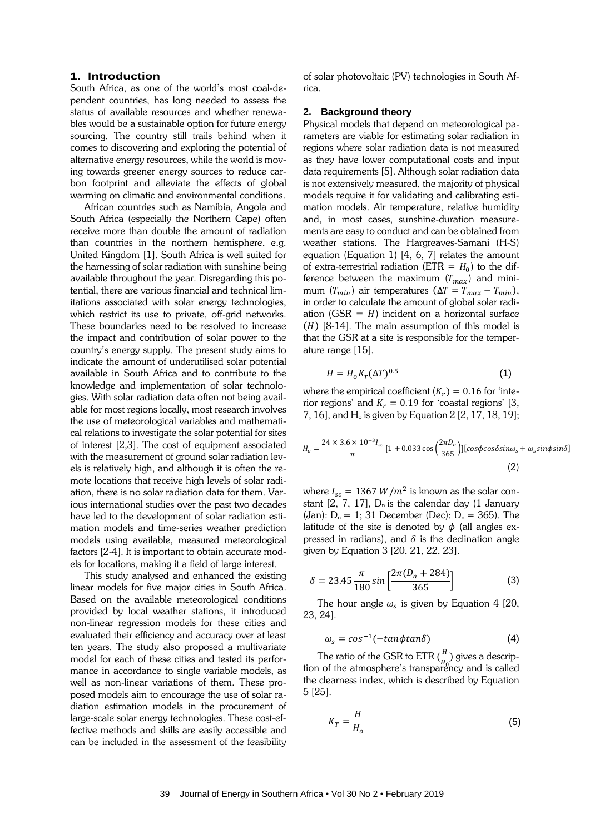# **1. Introduction**

South Africa, as one of the world's most coal-dependent countries, has long needed to assess the status of available resources and whether renewables would be a sustainable option for future energy sourcing. The country still trails behind when it comes to discovering and exploring the potential of alternative energy resources, while the world is moving towards greener energy sources to reduce carbon footprint and alleviate the effects of global warming on climatic and environmental conditions.

African countries such as Namibia, Angola and South Africa (especially the Northern Cape) often receive more than double the amount of radiation than countries in the northern hemisphere, e.g. United Kingdom [1]. South Africa is well suited for the harnessing of solar radiation with sunshine being available throughout the year. Disregarding this potential, there are various financial and technical limitations associated with solar energy technologies, which restrict its use to private, off-grid networks. These boundaries need to be resolved to increase the impact and contribution of solar power to the country's energy supply. The present study aims to indicate the amount of underutilised solar potential available in South Africa and to contribute to the knowledge and implementation of solar technologies. With solar radiation data often not being available for most regions locally, most research involves the use of meteorological variables and mathematical relations to investigate the solar potential for sites of interest [2,3]. The cost of equipment associated with the measurement of ground solar radiation levels is relatively high, and although it is often the remote locations that receive high levels of solar radiation, there is no solar radiation data for them. Various international studies over the past two decades have led to the development of solar radiation estimation models and time-series weather prediction models using available, measured meteorological factors [2-4]. It is important to obtain accurate models for locations, making it a field of large interest.

This study analysed and enhanced the existing linear models for five major cities in South Africa. Based on the available meteorological conditions provided by local weather stations, it introduced non-linear regression models for these cities and evaluated their efficiency and accuracy over at least ten years. The study also proposed a multivariate model for each of these cities and tested its performance in accordance to single variable models, as well as non-linear variations of them. These proposed models aim to encourage the use of solar radiation estimation models in the procurement of large-scale solar energy technologies. These cost-effective methods and skills are easily accessible and can be included in the assessment of the feasibility

of solar photovoltaic (PV) technologies in South Africa.

# **2. Background theory**

Physical models that depend on meteorological parameters are viable for estimating solar radiation in regions where solar radiation data is not measured as they have lower computational costs and input data requirements [5]. Although solar radiation data is not extensively measured, the majority of physical models require it for validating and calibrating estimation models. Air temperature, relative humidity and, in most cases, sunshine-duration measurements are easy to conduct and can be obtained from weather stations. The Hargreaves-Samani (H-S) equation (Equation 1) [4, 6, 7] relates the amount of extra-terrestrial radiation (ETR =  $H_0$ ) to the difference between the maximum  $(T_{max})$  and minimum ( $T_{min}$ ) air temperatures ( $\Delta T = T_{max} - T_{min}$ ), in order to calculate the amount of global solar radiation (GSR =  $H$ ) incident on a horizontal surface  $(H)$  [8-14]. The main assumption of this model is that the GSR at a site is responsible for the temperature range [15].

$$
H = H_o K_r (\Delta T)^{0.5}
$$
 (1)

where the empirical coefficient  $(K_r) = 0.16$  for 'interior regions' and  $K_r = 0.19$  for 'coastal regions' [3, 7, 16], and  $H_0$  is given by Equation 2 [2, 17, 18, 19];

$$
H_o = \frac{24 \times 3.6 \times 10^{-3} I_{sc}}{\pi} [1 + 0.033 \cos\left(\frac{2\pi D_n}{365}\right)] [\cos\phi \cos\delta \sin\omega_s + \omega_s \sin\phi \sin\delta]
$$
\n(2)

where  $I_{sc} = 1367 W/m^2$  is known as the solar constant  $[2, 7, 17]$ ,  $D_n$  is the calendar day  $(1)$  January (Jan):  $D_n = 1$ ; 31 December (Dec):  $D_n = 365$ ). The latitude of the site is denoted by  $\phi$  (all angles expressed in radians), and  $\delta$  is the declination angle given by Equation 3 [20, 21, 22, 23].

$$
\delta = 23.45 \frac{\pi}{180} \sin \left[ \frac{2\pi (D_n + 284)}{365} \right]
$$
 (3)

The hour angle  $\omega_s$  is given by Equation 4 [20, 23, 24].

$$
\omega_s = \cos^{-1}(-\tan\phi \tan\delta) \tag{4}
$$

The ratio of the GSR to ETR  $(\frac{H}{H_0})$  gives a descrip-<br>
i. of the atmosphere's transponeus and is called tion of the atmosphere's transparency and is called the clearness index, which is described by Equation 5 [25].

$$
K_T = \frac{H}{H_o} \tag{5}
$$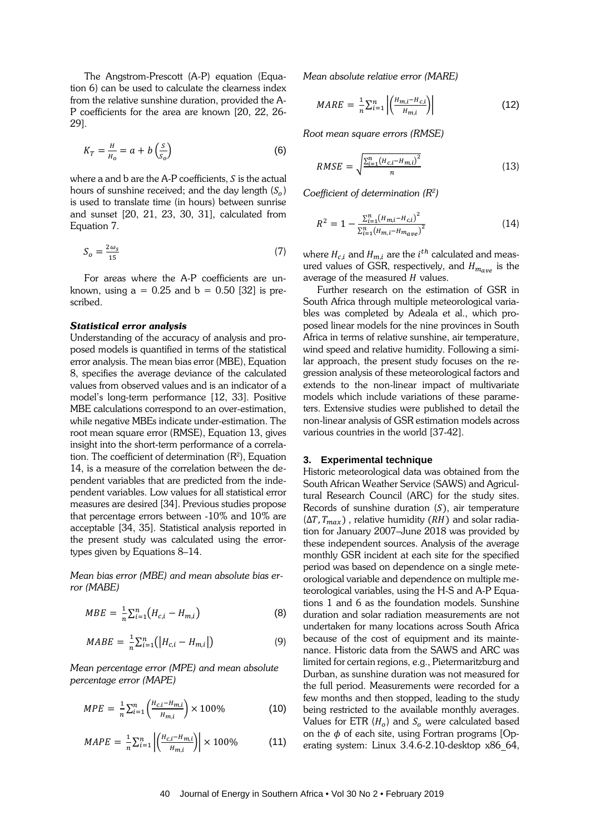The Angstrom-Prescott (A-P) equation (Equation 6) can be used to calculate the clearness index from the relative sunshine duration, provided the A-P coefficients for the area are known [20, 22, 26- 29].

$$
K_T = \frac{H}{H_o} = a + b \left(\frac{S}{S_o}\right) \tag{6}
$$

where a and  $b$  are the A-P coefficients,  $S$  is the actual hours of sunshine received; and the day length  $(S_0)$ is used to translate time (in hours) between sunrise and sunset [20, 21, 23, 30, 31], calculated from Equation 7.

$$
S_o = \frac{2\omega_s}{15} \tag{7}
$$

For areas where the A-P coefficients are unknown, using  $a = 0.25$  and  $b = 0.50$  [32] is prescribed.

#### *Statistical error analysis*

Understanding of the accuracy of analysis and proposed models is quantified in terms of the statistical error analysis. The mean bias error (MBE), Equation 8, specifies the average deviance of the calculated values from observed values and is an indicator of a model's long-term performance [12, 33]. Positive MBE calculations correspond to an over-estimation, while negative MBEs indicate under-estimation. The root mean square error (RMSE), Equation 13, gives insight into the short-term performance of a correlation. The coefficient of determination  $(R^2)$ , Equation 14, is a measure of the correlation between the dependent variables that are predicted from the independent variables. Low values for all statistical error measures are desired [34]. Previous studies propose that percentage errors between -10% and 10% are acceptable [34, 35]. Statistical analysis reported in the present study was calculated using the errortypes given by Equations 8–14.

*Mean bias error (MBE) and mean absolute bias error (MABE)*

$$
MBE = \frac{1}{n} \sum_{i=1}^{n} (H_{c,i} - H_{m,i})
$$
 (8)

$$
MABE = \frac{1}{n} \sum_{i=1}^{n} (|H_{c,i} - H_{m,i}|)
$$
 (9)

*Mean percentage error (MPE) and mean absolute percentage error (MAPE)*

$$
MPE = \frac{1}{n} \sum_{i=1}^{n} \left( \frac{H_{c,i} - H_{m,i}}{H_{m,i}} \right) \times 100\%
$$
 (10)

$$
MAPE = \frac{1}{n} \sum_{i=1}^{n} \left| \left( \frac{H_{c,i} - H_{m,i}}{H_{m,i}} \right) \right| \times 100\% \tag{11}
$$

*Mean absolute relative error (MARE)*

$$
MARE = \frac{1}{n} \sum_{i=1}^{n} \left| \left( \frac{H_{m,i} - H_{c,i}}{H_{m,i}} \right) \right| \tag{12}
$$

*Root mean square errors (RMSE)*

$$
RMSE = \sqrt{\frac{\sum_{i=1}^{n} (H_{c,i} - H_{m,i})^2}{n}}
$$
(13)

*Coefficient of determination (R2 )*

$$
R^{2} = 1 - \frac{\sum_{i=1}^{n} (H_{m,i} - H_{c,i})^{2}}{\sum_{i=1}^{n} (H_{m,i} - H_{mave})^{2}}
$$
(14)

where  $H_{c,i}$  and  $H_{m,i}$  are the  $i^{th}$  calculated and measured values of GSR, respectively, and  $H_{m_{ave}}$  is the average of the measured  $H$  values.

Further research on the estimation of GSR in South Africa through multiple meteorological variables was completed by Adeala et al., which proposed linear models for the nine provinces in South Africa in terms of relative sunshine, air temperature, wind speed and relative humidity. Following a similar approach, the present study focuses on the regression analysis of these meteorological factors and extends to the non-linear impact of multivariate models which include variations of these parameters. Extensive studies were published to detail the non-linear analysis of GSR estimation models across various countries in the world [37-42].

#### **3. Experimental technique**

Historic meteorological data was obtained from the South African Weather Service (SAWS) and Agricultural Research Council (ARC) for the study sites. Records of sunshine duration  $(S)$ , air temperature  $(\Delta T, T_{max})$ , relative humidity (RH) and solar radiation for January 2007–June 2018 was provided by these independent sources. Analysis of the average monthly GSR incident at each site for the specified period was based on dependence on a single meteorological variable and dependence on multiple meteorological variables, using the H-S and A-P Equations 1 and 6 as the foundation models. Sunshine duration and solar radiation measurements are not undertaken for many locations across South Africa because of the cost of equipment and its maintenance. Historic data from the SAWS and ARC was limited for certain regions, e.g., Pietermaritzburg and Durban, as sunshine duration was not measured for the full period. Measurements were recorded for a few months and then stopped, leading to the study being restricted to the available monthly averages. Values for ETR  $(H<sub>o</sub>)$  and  $S<sub>o</sub>$  were calculated based on the  $\phi$  of each site, using Fortran programs [Operating system: Linux 3.4.6-2.10-desktop x86\_64,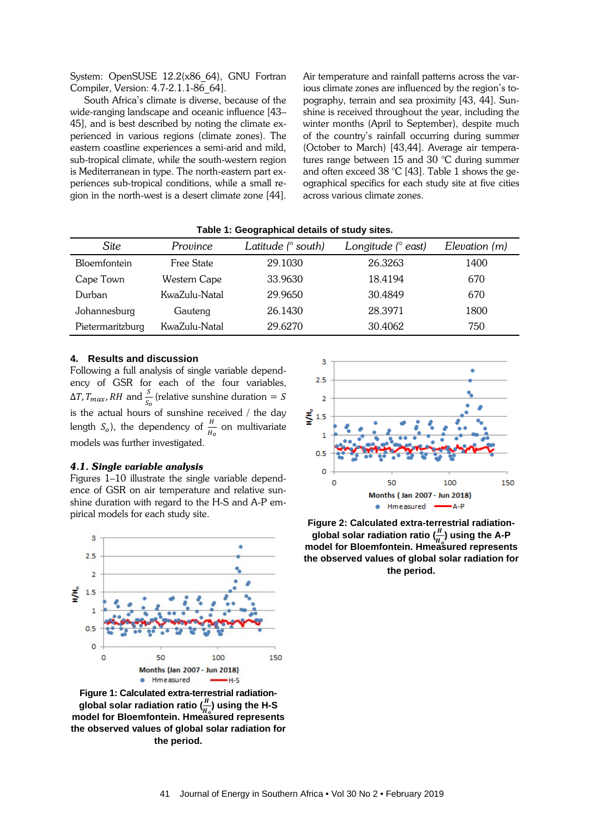System: OpenSUSE 12.2(x86\_64), GNU Fortran Compiler, Version: 4.7-2.1.1-86\_64].

South Africa's climate is diverse, because of the wide-ranging landscape and oceanic influence [43– 45], and is best described by noting the climate experienced in various regions (climate zones). The eastern coastline experiences a semi-arid and mild, sub-tropical climate, while the south-western region is Mediterranean in type. The north-eastern part experiences sub-tropical conditions, while a small region in the north-west is a desert climate zone [44].

Air temperature and rainfall patterns across the various climate zones are influenced by the region's topography, terrain and sea proximity [43, 44]. Sunshine is received throughout the year, including the winter months (April to September), despite much of the country's rainfall occurring during summer (October to March) [43,44]. Average air temperatures range between 15 and 30 °C during summer and often exceed 38 °C [43]. Table 1 shows the geographical specifics for each study site at five cities across various climate zones.

| Site             | Province      | Latitude (° south) | Longitude $(°$ east) | Elevation (m) |
|------------------|---------------|--------------------|----------------------|---------------|
| Bloemfontein     | Free State    | 29.1030            | 26.3263              | 1400          |
| Cape Town        | Western Cape  | 33.9630            | 18.4194              | 670           |
| Durban           | KwaZulu-Natal | 29.9650            | 30.4849              | 670           |
| Johannesburg     | Gauteng       | 26.1430            | 28.3971              | 1800          |
| Pietermaritzburg | KwaZulu-Natal | 29.6270            | 30.4062              | 750           |

**Table 1: Geographical details of study sites.**

# **4. Results and discussion**

Following a full analysis of single variable dependency of GSR for each of the four variables,  $\Delta T$ ,  $T_{max}$ , RH and  $\frac{s}{s_o}$  (relative sunshine duration = S is the actual hours of sunshine received / the day length  $S_o$ ), the dependency of  $\frac{H}{H_o}$  on multivariate models was further investigated.

#### *4.1. Single variable analysis*

Figures 1–10 illustrate the single variable dependence of GSR on air temperature and relative sunshine duration with regard to the H-S and A-P empirical models for each study site.



**Figure 1: Calculated extra-terrestrial radiationglobal solar radiation ratio ( ) using the H-S model for Bloemfontein. Hmeasured represents the observed values of global solar radiation for the period.**



**Figure 2: Calculated extra-terrestrial radiation**global solar radiation ratio  $\left(\frac{H}{\mu}\right)$  using the A-P **model for Bloemfontein. Hmeasured represents the observed values of global solar radiation for the period.**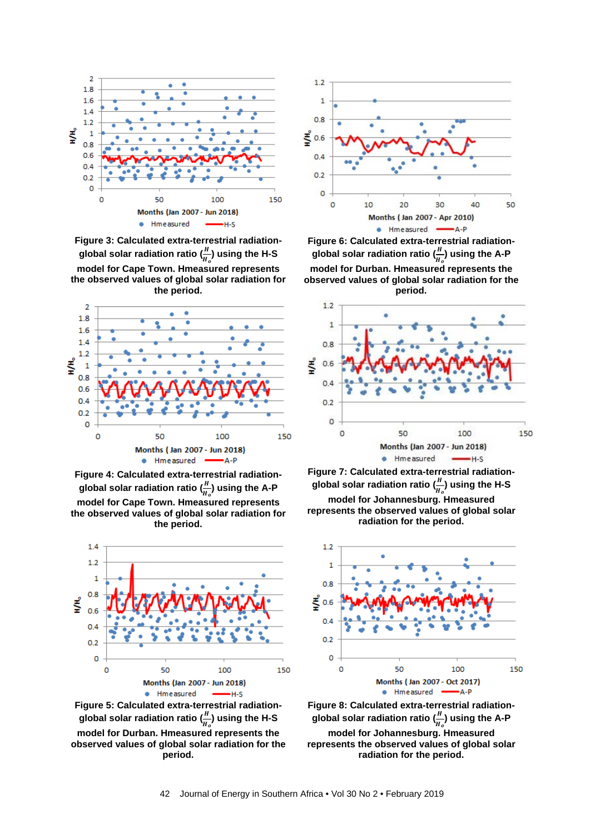

**Figure 3: Calculated extra-terrestrial radiation**global solar radiation ratio  $\left(\frac{n}{u}\right)$  using the H-S **model for Cape Town. Hmeasured represents the observed values of global solar radiation for the period.**



**Figure 4: Calculated extra-terrestrial radiationglobal solar radiation ratio (**  $\frac{1}{H_o}$ ) using the A-P **model for Cape Town. Hmeasured represents the observed values of global solar radiation for the period.**



**Figure 5: Calculated extra-terrestrial radiationglobal solar radiation ratio (**  $\frac{H}{H_o}$ ) using the H-S **model for Durban. Hmeasured represents the observed values of global solar radiation for the period.**



**Figure 6: Calculated extra-terrestrial radiation**global solar radiation ratio  $\left(\frac{n}{\mu}\right)$  using the A-P **model for Durban. Hmeasured represents the observed values of global solar radiation for the period.**



**Figure 7: Calculated extra-terrestrial radiationglobal solar radiation ratio (**  $\frac{H_o}{H_o}$ ) using the H-S **model for Johannesburg. Hmeasured represents the observed values of global solar radiation for the period.**



**Figure 8: Calculated extra-terrestrial radiationglobal solar radiation ratio (**  $\frac{H}{H_o}$ ) using the A-P **model for Johannesburg. Hmeasured represents the observed values of global solar radiation for the period.**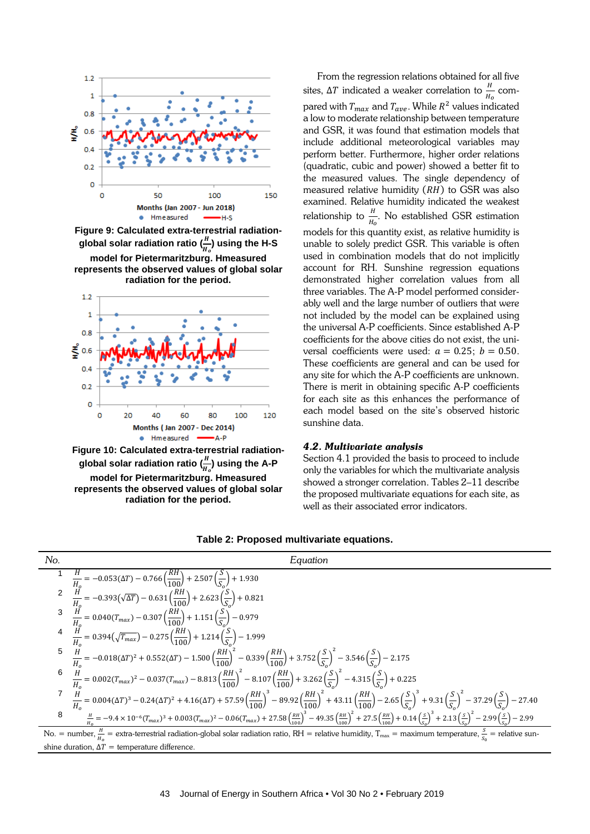

**Figure 9: Calculated extra-terrestrial radiation**global solar radiation ratio  $\left(\frac{n}{H}\right)$  using the H-S **model for Pietermaritzburg. Hmeasured represents the observed values of global solar radiation for the period.**



**global solar radiation ratio ( ) using the A-P model for Pietermaritzburg. Hmeasured represents the observed values of global solar radiation for the period.**

From the regression relations obtained for all five sites, ∆T indicated a weaker correlation to  $\frac{H}{H_0}$  compared with  $T_{max}$  and  $T_{ave}$ . While  $R^2$  values indicated a low to moderate relationship between temperature and GSR, it was found that estimation models that include additional meteorological variables may perform better. Furthermore, higher order relations (quadratic, cubic and power) showed a better fit to the measured values. The single dependency of measured relative humidity  $(RH)$  to GSR was also examined. Relative humidity indicated the weakest relationship to  $\frac{h}{H_0}$ . No established GSR estimation models for this quantity exist, as relative humidity is unable to solely predict GSR. This variable is often used in combination models that do not implicitly account for RH. Sunshine regression equations demonstrated higher correlation values from all three variables. The A-P model performed considerably well and the large number of outliers that were not included by the model can be explained using the universal A-P coefficients. Since established A-P coefficients for the above cities do not exist, the universal coefficients were used:  $a = 0.25$ ;  $b = 0.50$ . These coefficients are general and can be used for any site for which the A-P coefficients are unknown. There is merit in obtaining specific A-P coefficients for each site as this enhances the performance of each model based on the site's observed historic sunshine data.

#### *4.2. Multivariate analysis*

Section 4.1 provided the basis to proceed to include only the variables for which the multivariate analysis showed a stronger correlation. Tables 2–11 describe the proposed multivariate equations for each site, as well as their associated error indicators.



## **Table 2: Proposed multivariate equations.**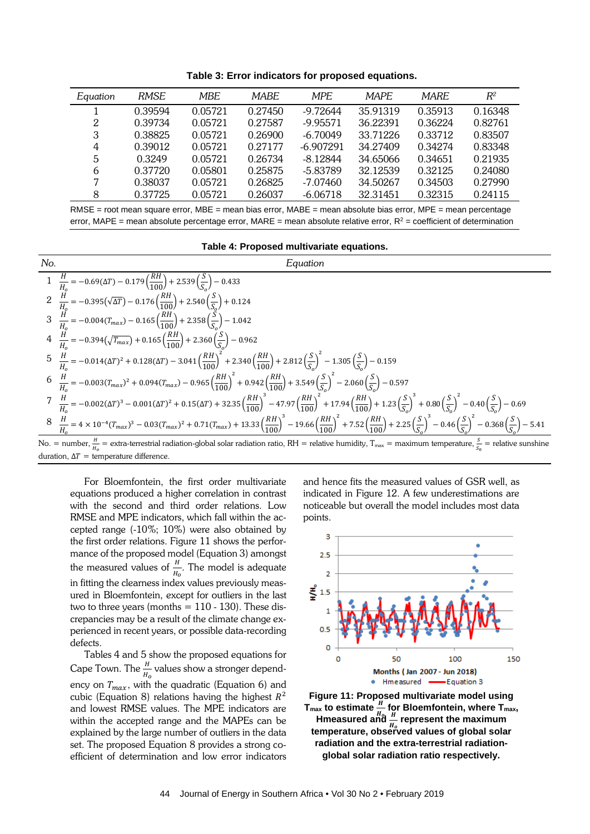| Equation | <b>RMSE</b> | <b>MBE</b> | <b>MARE</b> | MPF.        | <b>MAPE</b> | <b>MARE</b> | $R^2$   |
|----------|-------------|------------|-------------|-------------|-------------|-------------|---------|
|          | 0.39594     | 0.05721    | 0.27450     | $-9.72644$  | 35.91319    | 0.35913     | 0.16348 |
| 2        | 0.39734     | 0.05721    | 0.27587     | $-9.95571$  | 36.22391    | 0.36224     | 0.82761 |
| 3        | 0.38825     | 0.05721    | 0.26900     | $-6.70049$  | 33.71226    | 0.33712     | 0.83507 |
| 4        | 0.39012     | 0.05721    | 0.27177     | $-6.907291$ | 34.27409    | 0.34274     | 0.83348 |
| 5        | 0.3249      | 0.05721    | 0.26734     | $-8.12844$  | 34.65066    | 0.34651     | 0.21935 |
| 6        | 0.37720     | 0.05801    | 0.25875     | $-5.83789$  | 32.12539    | 0.32125     | 0.24080 |
| 7        | 0.38037     | 0.05721    | 0.26825     | $-7.07460$  | 34.50267    | 0.34503     | 0.27990 |
| 8        | 0.37725     | 0.05721    | 0.26037     | $-6.06718$  | 32.31451    | 0.32315     | 0.24115 |

**Table 3: Error indicators for proposed equations.**

RMSE = root mean square error, MBE = mean bias error, MABE = mean absolute bias error, MPE = mean percentage error, MAPE = mean absolute percentage error, MARE = mean absolute relative error,  $R^2$  = coefficient of determination

#### **Table 4: Proposed multivariate equations.**



For Bloemfontein, the first order multivariate equations produced a higher correlation in contrast with the second and third order relations. Low RMSE and MPE indicators, which fall within the accepted range (-10%; 10%) were also obtained by the first order relations. Figure 11 shows the performance of the proposed model (Equation 3) amongst the measured values of  $\frac{H}{H_o}$ . The model is adequate in fitting the clearness index values previously measured in Bloemfontein, except for outliers in the last two to three years (months  $= 110 - 130$ ). These discrepancies may be a result of the climate change experienced in recent years, or possible data-recording defects.

Tables 4 and 5 show the proposed equations for Cape Town. The  $\frac{H}{H_0}$  values show a stronger dependency on  $T_{max}$ , with the quadratic (Equation 6) and cubic (Equation 8) relations having the highest  $R^2$ and lowest RMSE values. The MPE indicators are within the accepted range and the MAPEs can be explained by the large number of outliers in the data set. The proposed Equation 8 provides a strong coefficient of determination and low error indicators and hence fits the measured values of GSR well, as indicated in Figure 12. A few underestimations are noticeable but overall the model includes most data points.



**Figure 11: Proposed multivariate model using**   $T_{\text{max}}$  to estimate  $\frac{H}{H_0}$  for Bloemfontein, where  $T_{\text{max}}$ ,<br>**Hence is the maximum** Hmeasured and  $\frac{H}{H}$  represent the maximum<br> **Expressive observed values of alghal sola temperature, observed values of global solar radiation and the extra-terrestrial radiationglobal solar radiation ratio respectively.**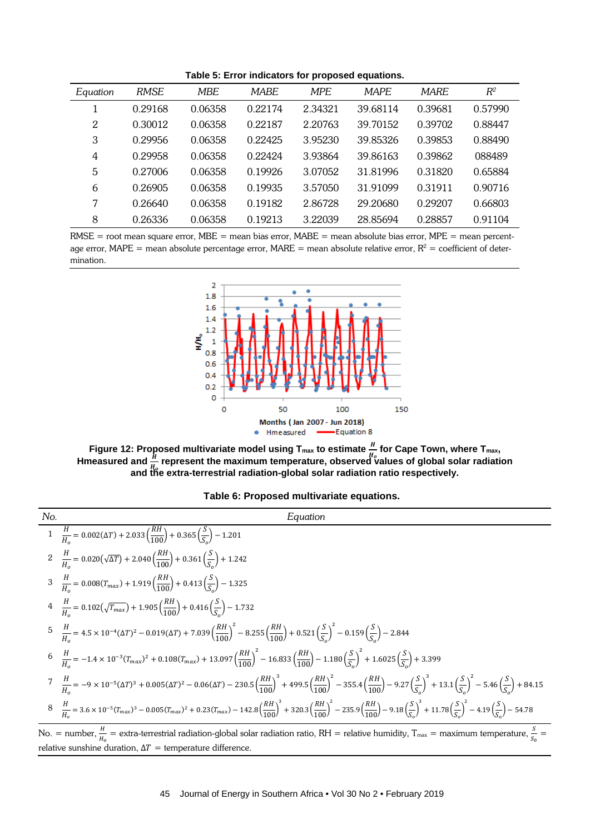**Table 5: Error indicators for proposed equations.**

| Equation | <b>RMSE</b> | <b>MBE</b> | <b>MABE</b> | <b>MPE</b> | <b>MAPE</b> | <b>MARE</b> | $R^2$   |
|----------|-------------|------------|-------------|------------|-------------|-------------|---------|
|          | 0.29168     | 0.06358    | 0.22174     | 2.34321    | 39.68114    | 0.39681     | 0.57990 |
| 2        | 0.30012     | 0.06358    | 0.22187     | 2.20763    | 39.70152    | 0.39702     | 0.88447 |
| 3        | 0.29956     | 0.06358    | 0.22425     | 3.95230    | 39.85326    | 0.39853     | 0.88490 |
| 4        | 0.29958     | 0.06358    | 0.22424     | 3.93864    | 39.86163    | 0.39862     | 088489  |
| 5        | 0.27006     | 0.06358    | 0.19926     | 3.07052    | 31.81996    | 0.31820     | 0.65884 |
| 6        | 0.26905     | 0.06358    | 0.19935     | 3.57050    | 31.91099    | 0.31911     | 0.90716 |
| 7        | 0.26640     | 0.06358    | 0.19182     | 2.86728    | 29.20680    | 0.29207     | 0.66803 |
| 8        | 0.26336     | 0.06358    | 0.19213     | 3.22039    | 28.85694    | 0.28857     | 0.91104 |

 $RMSE$  = root mean square error,  $MBE$  = mean bias error,  $MABE$  = mean absolute bias error,  $MPE$  = mean percentage error, MAPE = mean absolute percentage error, MARE = mean absolute relative error,  $R^2$  = coefficient of determination.



Figure 12: Proposed multivariate model using  $T_{\text{max}}$  to estimate  $\frac{H}{H_0}$  for Cape Town, where  $T_{\text{max}}$ ,  $T_{\text{max}}$ ,  $T_{\text{max}}$ Hmeasured and  $\frac{H}{\mu}$  represent the maximum temperature, observed values of global solar radiation **and the extra-terrestrial radiation-global solar radiation ratio respectively.**

| Table 6: Proposed multivariate equations. |  |  |
|-------------------------------------------|--|--|
|-------------------------------------------|--|--|

$$
Equation
$$
\n
$$
Equation
$$
\n
$$
I \frac{H}{H_0} = 0.002(ΔT) + 2.033(\frac{RH}{100}) + 0.365(\frac{S}{S_0}) - 1.201
$$
\n
$$
2 \frac{H}{H_0} = 0.020(\sqrt{ΔT}) + 2.040(\frac{RH}{100}) + 0.361(\frac{S}{S_0}) + 1.242
$$
\n
$$
3 \frac{H}{H_0} = 0.008(T_{max}) + 1.919(\frac{RH}{100}) + 0.413(\frac{S}{S_0}) - 1.325
$$
\n
$$
4 \frac{H}{H_0} = 0.102(\sqrt{T_{max}}) + 1.905(\frac{RH}{100}) + 0.416(\frac{S}{S_0}) - 1.732
$$
\n
$$
5 \frac{H}{H_0} = 4.5 \times 10^{-4}(\Delta T)^2 - 0.019(\Delta T) + 7.039(\frac{RH}{100})^2 - 8.255(\frac{RH}{100}) + 0.521(\frac{S}{S_0})^2 - 0.159(\frac{S}{S_0}) - 2.844
$$
\n
$$
6 \frac{H}{H_0} = -1.4 \times 10^{-3}(T_{max})^2 + 0.108(T_{max}) + 13.097(\frac{RH}{100})^2 - 16.833(\frac{RH}{100}) - 1.180(\frac{S}{S_0})^2 + 1.6025(\frac{S}{S_0}) + 3.399
$$
\n
$$
7 \frac{H}{H_0} = -9 \times 10^{-5}(\Delta T)^3 + 0.005(\Delta T)^2 - 0.06(\Delta T) - 230.5(\frac{RH}{100})^3 + 499.5(\frac{RH}{100})^2 - 355.4(\frac{RH}{100}) - 9.27(\frac{S}{S_0})^3 + 13.1(\frac{S}{S_0})^2 - 5.46(\frac{S}{S_0}) + 84.15
$$
\n
$$
8 \frac{H}{H_0} = 3.6 \times 10^{-5}(T_{max})^3
$$

,  $H_o$  $\cdot$   $s_0$ relative sunshine duration,  $\Delta T$  = temperature difference.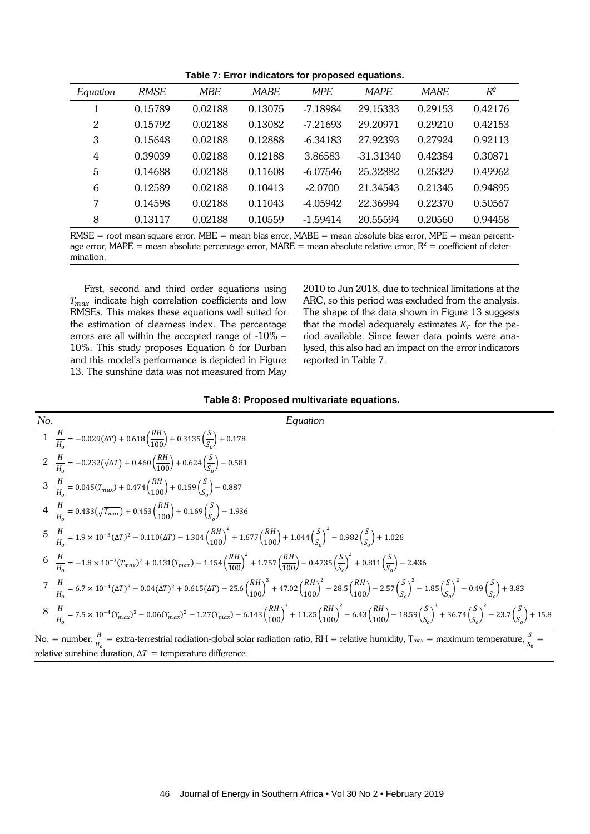**Table 7: Error indicators for proposed equations.**

| Equation       | <b>RMSE</b> | <b>MBE</b> | <b>MABE</b> | <b>MPE</b> | <b>MAPE</b> | <b>MARE</b> | $R^2$   |
|----------------|-------------|------------|-------------|------------|-------------|-------------|---------|
|                | 0.15789     | 0.02188    | 0.13075     | $-7.18984$ | 29.15333    | 0.29153     | 0.42176 |
| $\overline{2}$ | 0.15792     | 0.02188    | 0.13082     | $-7.21693$ | 29.20971    | 0.29210     | 0.42153 |
| 3              | 0.15648     | 0.02188    | 0.12888     | $-6.34183$ | 27.92393    | 0.27924     | 0.92113 |
| 4              | 0.39039     | 0.02188    | 0.12188     | 3.86583    | $-31.31340$ | 0.42384     | 0.30871 |
| 5              | 0.14688     | 0.02188    | 0.11608     | $-6.07546$ | 25.32882    | 0.25329     | 0.49962 |
| 6              | 0.12589     | 0.02188    | 0.10413     | $-2.0700$  | 21.34543    | 0.21345     | 0.94895 |
| 7              | 0.14598     | 0.02188    | 0.11043     | $-4.05942$ | 22.36994    | 0.22370     | 0.50567 |
| 8              | 0.13117     | 0.02188    | 0.10559     | $-1.59414$ | 20.55594    | 0.20560     | 0.94458 |

 $RMSE$  = root mean square error,  $MBE$  = mean bias error,  $MABE$  = mean absolute bias error,  $MPE$  = mean percentage error, MAPE = mean absolute percentage error, MARE = mean absolute relative error,  $R^2$  = coefficient of determination.

First, second and third order equations using  $T_{max}$  indicate high correlation coefficients and low RMSEs. This makes these equations well suited for the estimation of clearness index. The percentage errors are all within the accepted range of -10% – 10%. This study proposes Equation 6 for Durban and this model's performance is depicted in Figure 13. The sunshine data was not measured from May 2010 to Jun 2018, due to technical limitations at the ARC, so this period was excluded from the analysis. The shape of the data shown in Figure 13 suggests that the model adequately estimates  $K<sub>T</sub>$  for the period available. Since fewer data points were analysed, this also had an impact on the error indicators reported in Table 7.

#### **Table 8: Proposed multivariate equations.**

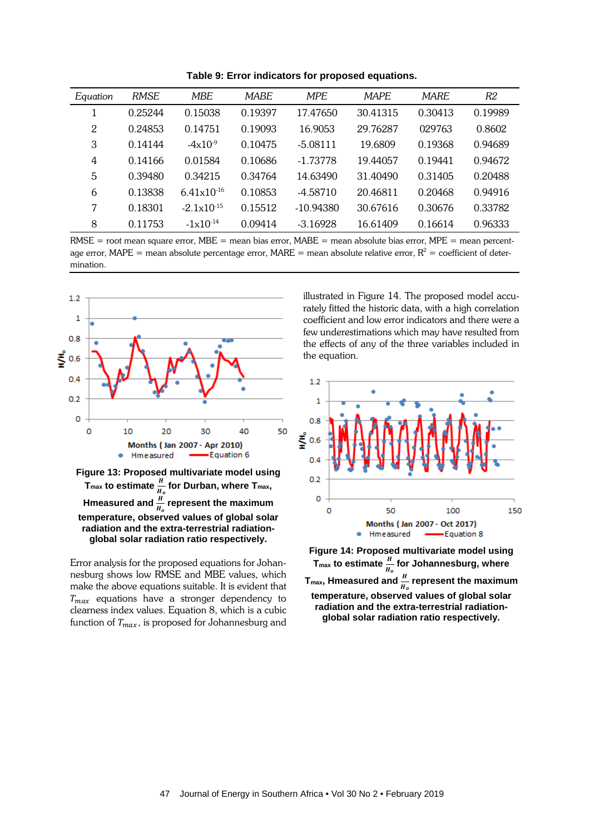| Equation | <b>RMSE</b> | <b>MBE</b>             | <b>MABE</b> | <b>MPE</b>  | <b>MAPE</b> | <b>MARE</b> | R2      |
|----------|-------------|------------------------|-------------|-------------|-------------|-------------|---------|
|          | 0.25244     | 0.15038                | 0.19397     | 17.47650    | 30.41315    | 0.30413     | 0.19989 |
| 2        | 0.24853     | 0.14751                | 0.19093     | 16.9053     | 29.76287    | 029763      | 0.8602  |
| 3        | 0.14144     | $-4x10^{-9}$           | 0.10475     | $-5.08111$  | 19.6809     | 0.19368     | 0.94689 |
| 4        | 0.14166     | 0.01584                | 0.10686     | $-1.73778$  | 19.44057    | 0.19441     | 0.94672 |
| 5        | 0.39480     | 0.34215                | 0.34764     | 14.63490    | 31.40490    | 0.31405     | 0.20488 |
| 6        | 0.13838     | $6.41 \times 10^{-16}$ | 0.10853     | $-4.58710$  | 20.46811    | 0.20468     | 0.94916 |
| 7        | 0.18301     | $-2.1 \times 10^{-15}$ | 0.15512     | $-10.94380$ | 30.67616    | 0.30676     | 0.33782 |
| 8        | 0.11753     | $-1 \times 10^{-14}$   | 0.09414     | $-3.16928$  | 16.61409    | 0.16614     | 0.96333 |

**Table 9: Error indicators for proposed equations.**

 $RMSE$  = root mean square error,  $MBE$  = mean bias error,  $MABE$  = mean absolute bias error,  $MPE$  = mean percentage error, MAPE = mean absolute percentage error, MARE = mean absolute relative error,  $R^2$  = coefficient of determination.



**temperature, observed values of global solar radiation and the extra-terrestrial radiationglobal solar radiation ratio respectively.**

Error analysis for the proposed equations for Johannesburg shows low RMSE and MBE values, which make the above equations suitable. It is evident that  $T_{max}$  equations have a stronger dependency to clearness index values. Equation 8, which is a cubic function of  $T_{max}$ , is proposed for Johannesburg and illustrated in Figure 14. The proposed model accurately fitted the historic data, with a high correlation coefficient and low error indicators and there were a few underestimations which may have resulted from the effects of any of the three variables included in the equation.



**Figure 14: Proposed multivariate model using**  T<sub>max</sub> to estimate  $\frac{H}{H_o}$  for Johannesburg, where  $T_{\text{max}}$ , Hmeasured and  $\frac{H}{H_o}$  represent the maximum **temperature, observed values of global solar radiation and the extra-terrestrial radiationglobal solar radiation ratio respectively.**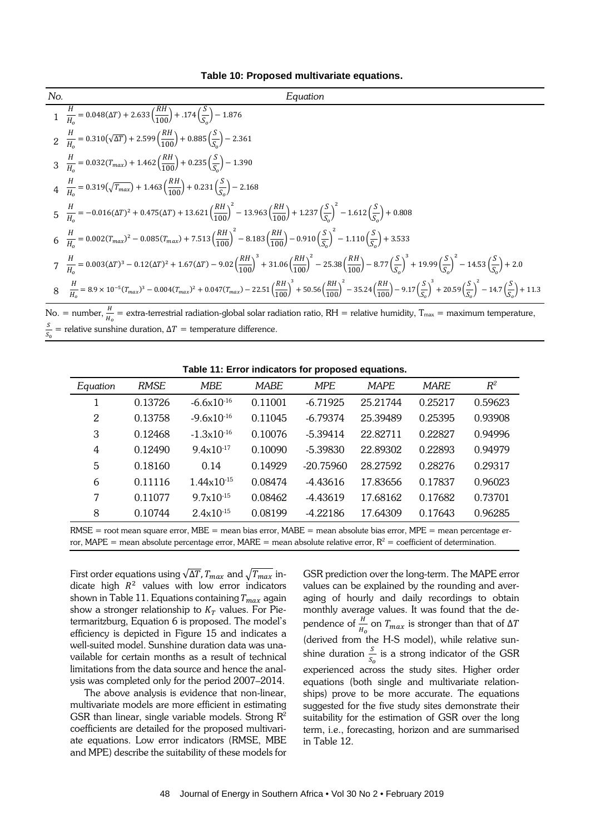| Table 10: Proposed multivariate equations. |  |  |
|--------------------------------------------|--|--|
|--------------------------------------------|--|--|

| No. | Equation                                                                                                                                                                                                                                                                                   |
|-----|--------------------------------------------------------------------------------------------------------------------------------------------------------------------------------------------------------------------------------------------------------------------------------------------|
|     | $\frac{H}{H_0} = 0.048(\Delta T) + 2.633\left(\frac{RH}{100}\right) + .174\left(\frac{S}{S_0}\right) - 1.876$                                                                                                                                                                              |
|     | $\frac{H}{2}$ = 0.310( $\sqrt{\Delta T}$ ) + 2.599( $\frac{RH}{100}$ ) + 0.885( $\frac{S}{S_2}$ ) – 2.361                                                                                                                                                                                  |
|     | $\frac{H}{3} = 0.032(T_{max}) + 1.462 \left(\frac{RH}{100}\right) + 0.235 \left(\frac{S}{S}\right) - 1.390$                                                                                                                                                                                |
|     | $\frac{H}{4}$ = 0.319( $\sqrt{T_{max}}$ ) + 1.463( $\frac{RH}{100}$ ) + 0.231( $\frac{S}{S_2}$ ) – 2.168                                                                                                                                                                                   |
|     | $rac{H}{H_0} = -0.016(\Delta T)^2 + 0.475(\Delta T) + 13.621\left(\frac{RH}{100}\right)^2 - 13.963\left(\frac{RH}{100}\right) + 1.237\left(\frac{S}{S}\right)^2 - 1.612\left(\frac{S}{S}\right) + 0.808$                                                                                   |
|     | $\frac{H}{H_0} = 0.002(T_{max})^2 - 0.085(T_{max}) + 7.513 \left(\frac{RH}{100}\right)^2 - 8.183 \left(\frac{RH}{100}\right) - 0.910 \left(\frac{S}{S_0}\right)^2 - 1.110 \left(\frac{S}{S_0}\right) + 3.533$                                                                              |
|     | $\frac{H}{V} = 0.003(\Delta T)^3 - 0.12(\Delta T)^2 + 1.67(\Delta T) - 9.02\left(\frac{RH}{100}\right)^3 + 31.06\left(\frac{RH}{100}\right)^2 - 25.38\left(\frac{RH}{100}\right) - 8.77\left(\frac{S}{S}\right)^3 + 19.99\left(\frac{S}{S}\right)^2 - 14.53\left(\frac{S}{S}\right) + 2.0$ |
|     | $8\frac{H}{H_0}=8.9\times10^{-5}(T_{max})^3-0.004(T_{max})^2+0.047(T_{max})-22.51\left(\frac{RH}{100}\right)^3+50.56\left(\frac{RH}{100}\right)^2-35.24\left(\frac{RH}{100}\right)-9.17\left(\frac{S}{S_0}\right)^3+20.59\left(\frac{S}{S_0}\right)^2-14.7\left(\frac{S}{S_0}\right)+11.3$ |

No. = number,  $\frac{H}{H_0}$  = extra-terrestrial radiation-global solar radiation ratio, RH = relative humidity, T $_{\text{max}}$  = maximum temperature,  $\overline{\phantom{0}}$  $\frac{S}{S_0}$  = relative sunshine duration,  $\Delta T$  = temperature difference.

| Equation                                                                                                                 | <b>RMSE</b> | MBE                    | <b>MABE</b> | <b>MPE</b>  | <b>MAPE</b> | <b>MARE</b> | $R^2$   |
|--------------------------------------------------------------------------------------------------------------------------|-------------|------------------------|-------------|-------------|-------------|-------------|---------|
|                                                                                                                          | 0.13726     | $-6.6x10^{-16}$        | 0.11001     | $-6.71925$  | 25.21744    | 0.25217     | 0.59623 |
| 2                                                                                                                        | 0.13758     | $-9.6x10^{-16}$        | 0.11045     | $-6.79374$  | 25.39489    | 0.25395     | 0.93908 |
| 3                                                                                                                        | 0.12468     | $-1.3x10^{-16}$        | 0.10076     | $-5.39414$  | 22.82711    | 0.22827     | 0.94996 |
| 4                                                                                                                        | 0.12490     | $9.4x10^{-17}$         | 0.10090     | $-5.39830$  | 22.89302    | 0.22893     | 0.94979 |
| 5                                                                                                                        | 0.18160     | 0.14                   | 0.14929     | $-20.75960$ | 28.27592    | 0.28276     | 0.29317 |
| 6                                                                                                                        | 0.11116     | $1.44 \times 10^{-15}$ | 0.08474     | $-4.43616$  | 17.83656    | 0.17837     | 0.96023 |
| 7                                                                                                                        | 0.11077     | $9.7 \times 10^{-15}$  | 0.08462     | $-4.43619$  | 17.68162    | 0.17682     | 0.73701 |
| 8                                                                                                                        | 0.10744     | $2.4x10^{-15}$         | 0.08199     | $-4.22186$  | 17.64309    | 0.17643     | 0.96285 |
| $RMSE$ = root mean square error. $MBE$ = mean bias error. $MABE$ = mean absolute bias error. $MPE$ = mean percentage er- |             |                        |             |             |             |             |         |

**Table 11: Error indicators for proposed equations.**

RMSE = root mean square error, MBE = mean bias error, MABE = mean absolute bias error, MPE = mean percentage error, MAPE = mean absolute percentage error, MARE = mean absolute relative error,  $R^2$  = coefficient of determination.

First order equations using  $\sqrt{\Delta T}$ ,  $T_{max}$  and  $\sqrt{T_{max}}$  indicate high  $R^2$  values with low error indicators shown in Table 11. Equations containing  $T_{max}$  again show a stronger relationship to  $K_T$  values. For Pietermaritzburg, Equation 6 is proposed. The model's efficiency is depicted in Figure 15 and indicates a well-suited model. Sunshine duration data was unavailable for certain months as a result of technical limitations from the data source and hence the analysis was completed only for the period 2007–2014.

The above analysis is evidence that non-linear, multivariate models are more efficient in estimating GSR than linear, single variable models. Strong  $\mathbb{R}^2$ coefficients are detailed for the proposed multivariate equations. Low error indicators (RMSE, MBE and MPE) describe the suitability of these models for

GSR prediction over the long-term. The MAPE error values can be explained by the rounding and averaging of hourly and daily recordings to obtain monthly average values. It was found that the dependence of  $\frac{H}{H_0}$  on  $T_{max}$  is stronger than that of  $\Delta T$ (derived from the H-S model), while relative sunshine duration  $\frac{s}{s_o}$  is a strong indicator of the GSR experienced across the study sites. Higher order equations (both single and multivariate relationships) prove to be more accurate. The equations suggested for the five study sites demonstrate their suitability for the estimation of GSR over the long term, i.e., forecasting, horizon and are summarised in Table 12.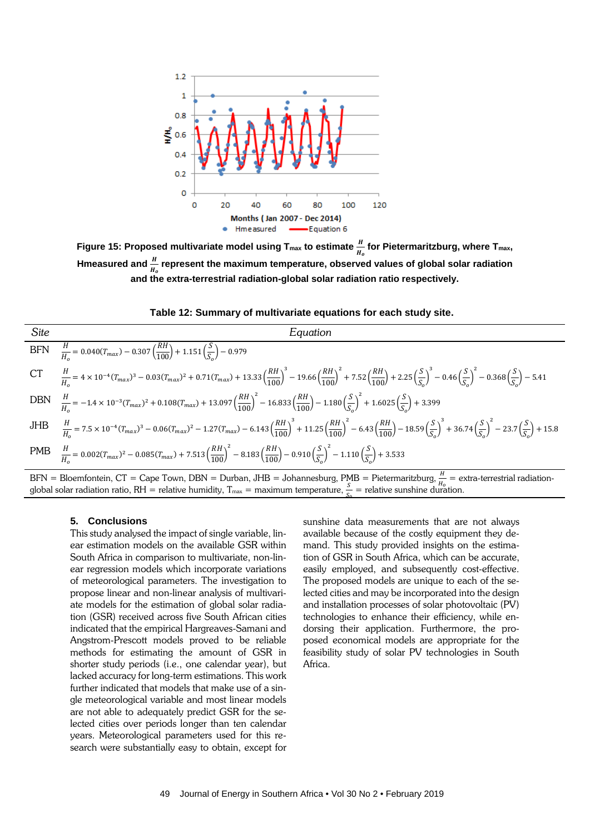

Figure 15: Proposed multivariate model using T<sub>max</sub> to estimate  $\frac{n}{\mu}$  for Pietermaritzburg, where T<sub>max</sub>, Hmeasured and  $\frac{H}{H_o}$  represent the maximum temperature, observed values of global solar radiation **and the extra-terrestrial radiation-global solar radiation ratio respectively.**

**Table 12: Summary of multivariate equations for each study site.**

| Site | Equation                                                                                                                                                                                                                                                                                                                   |
|------|----------------------------------------------------------------------------------------------------------------------------------------------------------------------------------------------------------------------------------------------------------------------------------------------------------------------------|
|      | BFN $\frac{H}{H} = 0.040(T_{max}) - 0.307 \left(\frac{RH}{100}\right) + 1.151 \left(\frac{S}{S}\right) - 0.979$                                                                                                                                                                                                            |
|      | CT $\frac{H}{H_0} = 4 \times 10^{-4} (T_{max})^3 - 0.03 (T_{max})^2 + 0.71 (T_{max}) + 13.33 (\frac{RH}{100})^3 - 19.66 (\frac{RH}{100})^2 + 7.52 (\frac{RH}{100}) + 2.25 (\frac{S}{S_0})^3 - 0.46 (\frac{S}{S_0})^2 - 0.368 (\frac{S}{S_0}) - 5.41$                                                                       |
|      | DBN $\frac{H}{H_0} = -1.4 \times 10^{-3} (T_{max})^2 + 0.108 (T_{max}) + 13.097 \left(\frac{RH}{100}\right)^2 - 16.833 \left(\frac{RH}{100}\right) - 1.180 \left(\frac{S}{S_0}\right)^2 + 1.6025 \left(\frac{S}{S_0}\right) + 3.399$                                                                                       |
|      | JHB $\frac{H}{H_0} = 7.5 \times 10^{-4} (T_{max})^3 - 0.06 (T_{max})^2 - 1.27 (T_{max}) - 6.143 \left(\frac{RH}{100}\right)^3 + 11.25 \left(\frac{RH}{100}\right)^2 - 6.43 \left(\frac{RH}{100}\right) - 18.59 \left(\frac{S}{S_0}\right)^3 + 36.74 \left(\frac{S}{S_0}\right)^2 - 23.7 \left(\frac{S}{S_0}\right) + 15.8$ |
|      | PMB $\frac{H}{H_0} = 0.002(T_{max})^2 - 0.085(T_{max}) + 7.513 \left(\frac{RH}{100}\right)^2 - 8.183 \left(\frac{RH}{100}\right) - 0.910 \left(\frac{S}{S_0}\right)^2 - 1.110 \left(\frac{S}{S_0}\right) + 3.533$                                                                                                          |

 $BFN = Bloemfonten, CT = Cape Town, DBN = Durban, JHB = Johannesburg, PMB = Pietermaritzburg, \frac{H}{H_0} = extra-terrestrial radiation-  
debal solar radiation ratio, BH = relativistic luminity. T = maximum temperature,  $\frac{S}{B} =$  relative quantities during during$ global solar radiation ratio, RH = relative humidity,  $T_{\text{max}} = \text{maximum temperature}, \frac{S}{S_0} = \text{relative sunshire duration}.$ 

#### **5. Conclusions**

This study analysed the impact of single variable, linear estimation models on the available GSR within South Africa in comparison to multivariate, non-linear regression models which incorporate variations of meteorological parameters. The investigation to propose linear and non-linear analysis of multivariate models for the estimation of global solar radiation (GSR) received across five South African cities indicated that the empirical Hargreaves-Samani and Angstrom-Prescott models proved to be reliable methods for estimating the amount of GSR in shorter study periods (i.e., one calendar year), but lacked accuracy for long-term estimations. This work further indicated that models that make use of a single meteorological variable and most linear models are not able to adequately predict GSR for the selected cities over periods longer than ten calendar years. Meteorological parameters used for this research were substantially easy to obtain, except for

sunshine data measurements that are not always available because of the costly equipment they demand. This study provided insights on the estimation of GSR in South Africa, which can be accurate, easily employed, and subsequently cost-effective. The proposed models are unique to each of the selected cities and may be incorporated into the design and installation processes of solar photovoltaic (PV) technologies to enhance their efficiency, while endorsing their application. Furthermore, the proposed economical models are appropriate for the feasibility study of solar PV technologies in South Africa.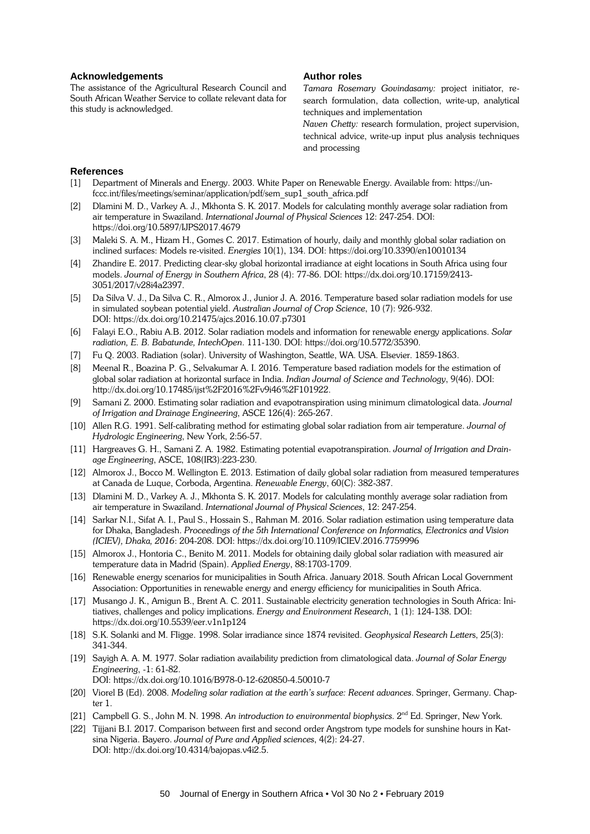### **Acknowledgements**

The assistance of the Agricultural Research Council and South African Weather Service to collate relevant data for this study is acknowledged.

# **Author roles**

*Tamara Rosemary Govindasamy:* project initiator, research formulation, data collection, write-up, analytical techniques and implementation

*Naven Chetty:* research formulation, project supervision, technical advice, write-up input plus analysis techniques and processing

# **References**

- [1] Department of Minerals and Energy. 2003. White Paper on Renewable Energy. Available from[: https://un](https://unfccc.int/files/meetings/seminar/application/pdf/sem_sup1_south_africa.pdf)[fccc.int/files/meetings/seminar/application/pdf/sem\\_sup1\\_south\\_africa.pdf](https://unfccc.int/files/meetings/seminar/application/pdf/sem_sup1_south_africa.pdf)
- [2] Dlamini M. D., Varkey A. J., Mkhonta S. K. 2017. Models for calculating monthly average solar radiation from air temperature in Swaziland. *International Journal of Physical Sciences* 12: 247-254. DOI: <https://doi.org/10.5897/IJPS2017.4679>
- [3] Maleki S. A. M., Hizam H., Gomes C. 2017. Estimation of hourly, daily and monthly global solar radiation on inclined surfaces: Models re-visited. *Energies* 10(1), 134. DOI:<https://doi.org/10.3390/en10010134>
- [4] Zhandire E. 2017. Predicting clear-sky global horizontal irradiance at eight locations in South Africa using four models. *Journal of Energy in Southern Africa*, 28 (4): 77-86. DOI: [https://dx.doi.org/10.17159/2413-](https://dx.doi.org/10.17159/2413-3051/2017/v28i4a2397) [3051/2017/v28i4a2397.](https://dx.doi.org/10.17159/2413-3051/2017/v28i4a2397)
- [5] Da Silva V. J., Da Silva C. R., Almorox J., Junior J. A. 2016. Temperature based solar radiation models for use in simulated soybean potential yield. *Australian Journal of Crop Science*, 10 (7): 926-932. DOI[: https://dx.doi.org/10.21475/ajcs.2016.10.07.p7301](https://dx.doi.org/%2010.21475/ajcs.2016.10.07.p7301)
- [6] Falayi E.O., Rabiu A.B. 2012. Solar radiation models and information for renewable energy applications. *Solar radiation, E. B. Babatunde, IntechOpen*. 111-130. DOI[: https://doi.org/10.5772/35390.](https://doi.org/10.5772/35390)
- [7] Fu Q. 2003. Radiation (solar). University of Washington, Seattle, WA. USA. Elsevier. 1859-1863.
- [8] Meenal R., Boazina P. G., Selvakumar A. I. 2016. Temperature based radiation models for the estimation of global solar radiation at horizontal surface in India. *Indian Journal of Science and Technology*, 9(46). DOI: [http://dx.doi.org/10.17485/ijst%2F2016%2Fv9i46%2F101922.](http://dx.doi.org/10.17485/ijst%2F2016%2Fv9i46%2F101922)
- [9] Samani Z. 2000. Estimating solar radiation and evapotranspiration using minimum climatological data. *Journal of Irrigation and Drainage Engineering*, ASCE 126(4): 265-267.
- [10] Allen R.G. 1991. Self-calibrating method for estimating global solar radiation from air temperature. *Journal of Hydrologic Engineering*, New York, 2:56-57.
- [11] Hargreaves G. H., Samani Z. A. 1982. Estimating potential evapotranspiration. *Journal of Irrigation and Drainage Engineering*, ASCE, 108(IR3):223-230.
- [12] Almorox J., Bocco M. Wellington E. 2013. Estimation of daily global solar radiation from measured temperatures at Canada de Luque, Corboda, Argentina. *Renewable Energy*, 60(C): 382-387.
- [13] Dlamini M. D., Varkey A. J., Mkhonta S. K. 2017. Models for calculating monthly average solar radiation from air temperature in Swaziland. *International Journal of Physical Sciences*, 12: 247-254.
- [14] Sarkar N.I., Sifat A. I., Paul S., Hossain S., Rahman M. 2016. Solar radiation estimation using temperature data for Dhaka, Bangladesh. *Proceedings of the 5th International Conference on Informatics, Electronics and Vision (ICIEV), Dhaka, 2016*: 204-208. DOI: https://dx.doi.org/10.1109/ICIEV.2016.7759996
- [15] Almorox J., Hontoria C., Benito M. 2011. Models for obtaining daily global solar radiation with measured air temperature data in Madrid (Spain). *Applied Energy*, 88:1703-1709.
- [16] Renewable energy scenarios for municipalities in South Africa. January 2018. South African Local Government Association: Opportunities in renewable energy and energy efficiency for municipalities in South Africa.
- [17] Musango J. K., Amigun B., Brent A. C. 2011. Sustainable electricity generation technologies in South Africa: Initiatives, challenges and policy implications. *Energy and Environment Research*, 1 (1): 124-138. DOI: https://dx.doi.or[g/10.5539/eer.v1n1p124](https://doi.org/10.5539/eer.v1n1p124)
- [18] S.K. Solanki and M. FIigge. 1998. Solar irradiance since 1874 revisited. *Geophysical Research Letter*s, 25(3): 341-344.
- [19] Sayigh A. A. M. 1977. Solar radiation availability prediction from climatological data. *Journal of Solar Energy Engineering*, -1: 61-82. DOI: https://dx.doi.or[g/10.1016/B978-0-12-620850-4.50010-7](http://dx.doi.org/10.1016/B978-0-12-620850-4.50010-7)
- [20] Viorel B (Ed). 2008. *Modeling solar radiation at the earth's surface: Recent advances*. Springer, Germany. Chapter 1.
- [21] Campbell G. S., John M. N. 1998. An introduction to environmental biophysics. 2<sup>nd</sup> Ed. Springer, New York.
- [22] Tijjani B.I. 2017. Comparison between first and second order Angstrom type models for sunshine hours in Katsina Nigeria. Bayero. *Journal of Pure and Applied sciences*, 4(2): 24-27. DOI[: http://dx.doi.org/10.4314/bajopas.v4i2.5.](http://dx.doi.org/10.4314/bajopas.v4i2.5)